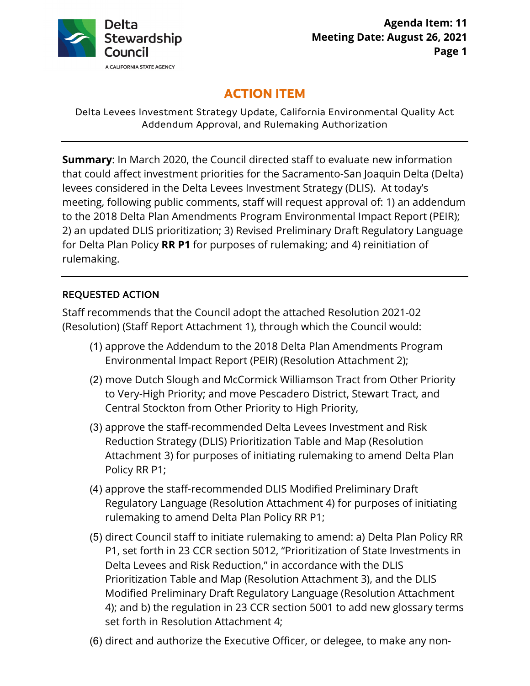

# **ACTION ITEM**

Delta Levees Investment Strategy Update, California Environmental Quality Act Addendum Approval, and Rulemaking Authorization

 for Delta Plan Policy **RR P1** for purposes of rulemaking; and 4) reinitiation of **Summary**: In March 2020, the Council directed staff to evaluate new information that could affect investment priorities for the Sacramento-San Joaquin Delta (Delta) levees considered in the Delta Levees Investment Strategy (DLIS). At today's meeting, following public comments, staff will request approval of: 1) an addendum to the 2018 Delta Plan Amendments Program Environmental Impact Report (PEIR); 2) an updated DLIS prioritization; 3) Revised Preliminary Draft Regulatory Language rulemaking.

# REQUESTED ACTION

 Staff recommends that the Council adopt the attached Resolution 2021-02 (Resolution) (Staff Report Attachment 1), through which the Council would:

- Environmental Impact Report (PEIR) (Resolution Attachment 2); (1) approve the Addendum to the 2018 Delta Plan Amendments Program
- (2) move Dutch Slough and McCormick Williamson Tract from Other Priority to Very-High Priority; and move Pescadero District, Stewart Tract, and Central Stockton from Other Priority to High Priority,
- Policy RR P1; (3) approve the staff-recommended Delta Levees Investment and Risk Reduction Strategy (DLIS) Prioritization Table and Map (Resolution Attachment 3) for purposes of initiating rulemaking to amend Delta Plan
- (4) approve the staff-recommended DLIS Modified Preliminary Draft Regulatory Language (Resolution Attachment 4) for purposes of initiating rulemaking to amend Delta Plan Policy RR P1;
- set forth in Resolution Attachment 4; (5) direct Council staff to initiate rulemaking to amend: a) Delta Plan Policy RR P1, set forth in 23 CCR section 5012, "Prioritization of State Investments in Delta Levees and Risk Reduction," in accordance with the DLIS Prioritization Table and Map (Resolution Attachment 3), and the DLIS Modified Preliminary Draft Regulatory Language (Resolution Attachment 4); and b) the regulation in 23 CCR section 5001 to add new glossary terms
- (6) direct and authorize the Executive Officer, or delegee, to make any non-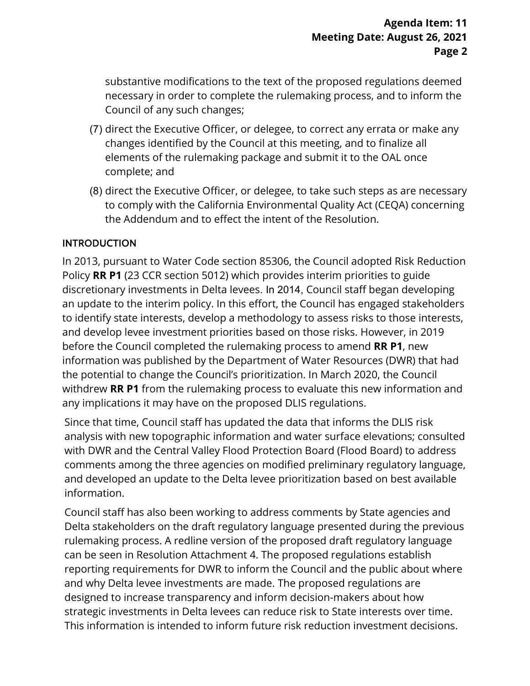substantive modifications to the text of the proposed regulations deemed Council of any such changes; necessary in order to complete the rulemaking process, and to inform the

- (7) direct the Executive Officer, or delegee, to correct any errata or make any changes identified by the Council at this meeting, and to finalize all elements of the rulemaking package and submit it to the OAL once complete; and
- the Addendum and to effect the intent of the Resolution. (8) direct the Executive Officer, or delegee, to take such steps as are necessary to comply with the California Environmental Quality Act (CEQA) concerning

# INTRODUCTION

In 2013, pursuant to Water Code section 85306, the Council adopted Risk Reduction Policy **RR P1** (23 CCR section 5012) which provides interim priorities to guide discretionary investments in Delta levees. In 2014, Council staff began developing an update to the interim policy. In this effort, the Council has engaged stakeholders to identify state interests, develop a methodology to assess risks to those interests, and develop levee investment priorities based on those risks. However, in 2019 before the Council completed the rulemaking process to amend **RR P1**, new information was published by the Department of Water Resources (DWR) that had the potential to change the Council's prioritization. In March 2020, the Council withdrew **RR P1** from the rulemaking process to evaluate this new information and any implications it may have on the proposed DLIS regulations.

 Since that time, Council staff has updated the data that informs the DLIS risk analysis with new topographic information and water surface elevations; consulted with DWR and the Central Valley Flood Protection Board (Flood Board) to address comments among the three agencies on modified preliminary regulatory language, and developed an update to the Delta levee prioritization based on best available information.

 Delta stakeholders on the draft regulatory language presented during the previous rulemaking process. A redline version of the proposed draft regulatory language and why Delta levee investments are made. The proposed regulations are designed to increase transparency and inform decision-makers about how Council staff has also been working to address comments by State agencies and can be seen in Resolution Attachment 4. The proposed regulations establish reporting requirements for DWR to inform the Council and the public about where strategic investments in Delta levees can reduce risk to State interests over time. This information is intended to inform future risk reduction investment decisions.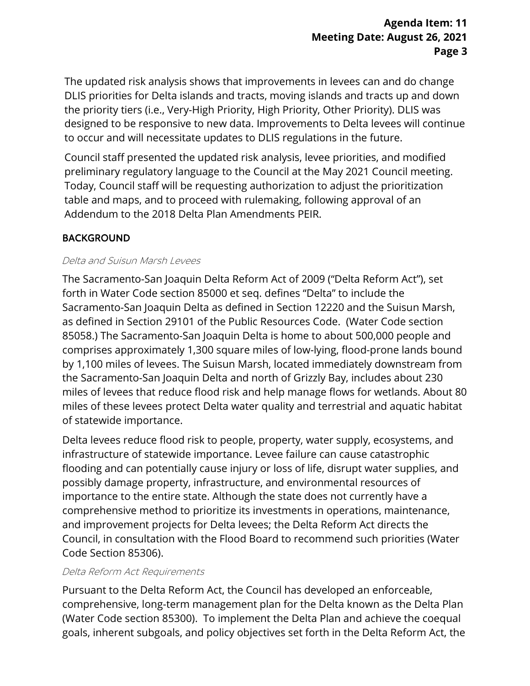to occur and will necessitate updates to DLIS regulations in the future. The updated risk analysis shows that improvements in levees can and do change DLIS priorities for Delta islands and tracts, moving islands and tracts up and down the priority tiers (i.e., Very-High Priority, High Priority, Other Priority). DLIS was designed to be responsive to new data. Improvements to Delta levees will continue

 Today, Council staff will be requesting authorization to adjust the prioritization Council staff presented the updated risk analysis, levee priorities, and modified preliminary regulatory language to the Council at the May 2021 Council meeting. table and maps, and to proceed with rulemaking, following approval of an Addendum to the 2018 Delta Plan Amendments PEIR.

## BACKGROUND

#### Delta and Suisun Marsh Levees

 miles of these levees protect Delta water quality and terrestrial and aquatic habitat The Sacramento-San Joaquin Delta Reform Act of 2009 ("Delta Reform Act"), set forth in Water Code section 85000 et seq. defines "Delta" to include the Sacramento-San Joaquin Delta as defined in Section 12220 and the Suisun Marsh, as defined in Section 29101 of the Public Resources Code. (Water Code section 85058.) The Sacramento-San Joaquin Delta is home to about 500,000 people and comprises approximately 1,300 square miles of low-lying, flood-prone lands bound by 1,100 miles of levees. The Suisun Marsh, located immediately downstream from the Sacramento-San Joaquin Delta and north of Grizzly Bay, includes about 230 miles of levees that reduce flood risk and help manage flows for wetlands. About 80 of statewide importance.

 importance to the entire state. Although the state does not currently have a and improvement projects for Delta levees; the Delta Reform Act directs the Delta levees reduce flood risk to people, property, water supply, ecosystems, and infrastructure of statewide importance. Levee failure can cause catastrophic flooding and can potentially cause injury or loss of life, disrupt water supplies, and possibly damage property, infrastructure, and environmental resources of comprehensive method to prioritize its investments in operations, maintenance, Council, in consultation with the Flood Board to recommend such priorities (Water Code Section 85306).

#### Delta Reform Act Requirements

Pursuant to the Delta Reform Act, the Council has developed an enforceable, comprehensive, long-term management plan for the Delta known as the Delta Plan (Water Code section 85300). To implement the Delta Plan and achieve the coequal goals, inherent subgoals, and policy objectives set forth in the Delta Reform Act, the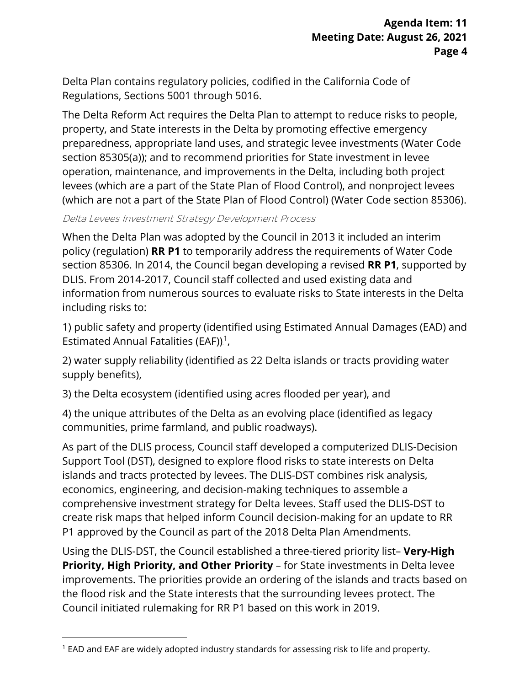Delta Plan contains regulatory policies, codified in the California Code of Regulations, Sections 5001 through 5016.

 section 85305(a)); and to recommend priorities for State investment in levee levees (which are a part of the State Plan of Flood Control), and nonproject levees The Delta Reform Act requires the Delta Plan to attempt to reduce risks to people, property, and State interests in the Delta by promoting effective emergency preparedness, appropriate land uses, and strategic levee investments (Water Code operation, maintenance, and improvements in the Delta, including both project (which are not a part of the State Plan of Flood Control) (Water Code section 85306).

#### Delta Levees Investment Strategy Development Process

When the Delta Plan was adopted by the Council in 2013 it included an interim policy (regulation) **RR P1** to temporarily address the requirements of Water Code section 85306. In 2014, the Council began developing a revised **RR P1**, supported by DLIS. From 2014-2017, Council staff collected and used existing data and information from numerous sources to evaluate risks to State interests in the Delta including risks to:

 1) public safety and property (identified using Estimated Annual Damages (EAD) and Estimated Annual Fatalities (EAF)) $<sup>1</sup>$ ,</sup>

2) water supply reliability (identified as 22 Delta islands or tracts providing water supply benefits),

3) the Delta ecosystem (identified using acres flooded per year), and

4) the unique attributes of the Delta as an evolving place (identified as legacy communities, prime farmland, and public roadways).

As part of the DLIS process, Council staff developed a computerized DLIS-Decision Support Tool (DST), designed to explore flood risks to state interests on Delta islands and tracts protected by levees. The DLIS-DST combines risk analysis, economics, engineering, and decision-making techniques to assemble a comprehensive investment strategy for Delta levees. Staff used the DLIS-DST to create risk maps that helped inform Council decision-making for an update to RR P1 approved by the Council as part of the 2018 Delta Plan Amendments.

 **Priority, High Priority, and Other Priority** – for State investments in Delta levee Using the DLIS-DST, the Council established a three-tiered priority list– **Very-High**  improvements. The priorities provide an ordering of the islands and tracts based on the flood risk and the State interests that the surrounding levees protect. The Council initiated rulemaking for RR P1 based on this work in 2019.

<sup>1</sup> EAD and EAF are widely adopted industry standards for assessing risk to life and property.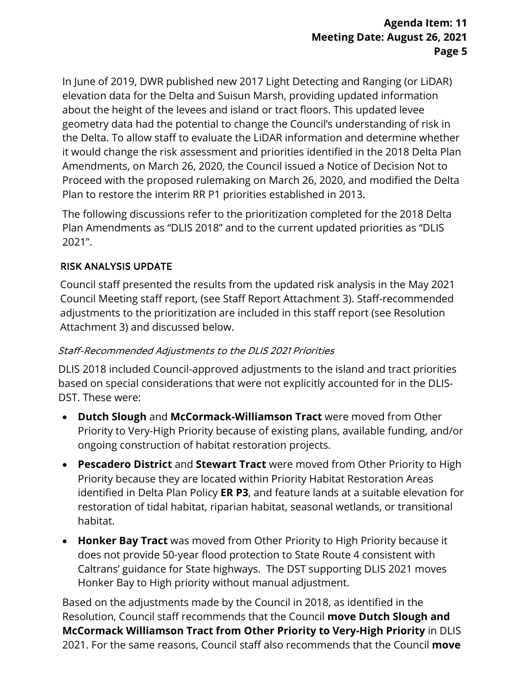In June of 2019, DWR published new 2017 Light Detecting and Ranging (or LiDAR) elevation data for the Delta and Suisun Marsh, providing updated information about the height of the levees and island or tract floors. This updated levee geometry data had the potential to change the Council's understanding of risk in the Delta. To allow staff to evaluate the LiDAR information and determine whether it would change the risk assessment and priorities identified in the 2018 Delta Plan Amendments, on March 26, 2020, the Council issued a Notice of Decision Not to Proceed with the proposed rulemaking on March 26, 2020, and modified the Delta Plan to restore the interim RR P1 priorities established in 2013.

The following discussions refer to the prioritization completed for the 2018 Delta Plan Amendments as "DLIS 2018" and to the current updated priorities as "DLIS 2021".

## RISK ANALYSIS UPDATE

Council staff presented the results from the updated risk analysis in the May 2021 Council Meeting staff report, (see Staff Report Attachment 3). Staff-recommended adjustments to the prioritization are included in this staff report (see Resolution Attachment 3) and discussed below.

# Staff-Recommended Adjustments to the DLIS 2021 Priorities

DLIS 2018 included Council-approved adjustments to the island and tract priorities based on special considerations that were not explicitly accounted for in the DLIS-DST. These were:

- **Dutch Slough** and **McCormack-Williamson Tract** were moved from Other Priority to Very-High Priority because of existing plans, available funding, and/or ongoing construction of habitat restoration projects.
- **Pescadero District** and **Stewart Tract** were moved from Other Priority to High Priority because they are located within Priority Habitat Restoration Areas identified in Delta Plan Policy **ER P3**, and feature lands at a suitable elevation for restoration of tidal habitat, riparian habitat, seasonal wetlands, or transitional habitat.
- Caltrans' guidance for State highways. The DST supporting DLIS 2021 moves • **Honker Bay Tract** was moved from Other Priority to High Priority because it does not provide 50-year flood protection to State Route 4 consistent with Honker Bay to High priority without manual adjustment.

 Resolution, Council staff recommends that the Council **move Dutch Slough and**  Based on the adjustments made by the Council in 2018, as identified in the **McCormack Williamson Tract from Other Priority to Very-High Priority** in DLIS 2021. For the same reasons, Council staff also recommends that the Council **move**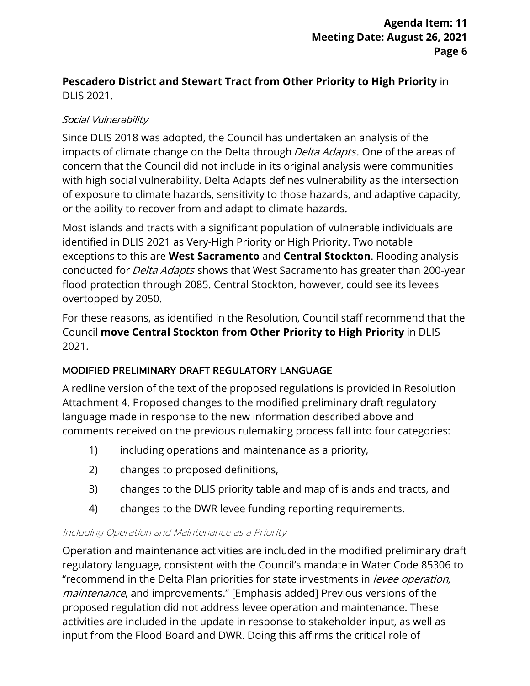# **Pescadero District and Stewart Tract from Other Priority to High Priority** in DLIS 2021.

# Social Vulnerability

Since DLIS 2018 was adopted, the Council has undertaken an analysis of the impacts of climate change on the Delta through *Delta Adapts*. One of the areas of concern that the Council did not include in its original analysis were communities with high social vulnerability. Delta Adapts defines vulnerability as the intersection of exposure to climate hazards, sensitivity to those hazards, and adaptive capacity, or the ability to recover from and adapt to climate hazards.

Most islands and tracts with a significant population of vulnerable individuals are identified in DLIS 2021 as Very-High Priority or High Priority. Two notable exceptions to this are **West Sacramento** and **Central Stockton**. Flooding analysis conducted for *Delta Adapts* shows that West Sacramento has greater than 200-year flood protection through 2085. Central Stockton, however, could see its levees overtopped by 2050.

 For these reasons, as identified in the Resolution, Council staff recommend that the Council **move Central Stockton from Other Priority to High Priority** in DLIS 2021.

# MODIFIED PRELIMINARY DRAFT REGULATORY LANGUAGE

 A redline version of the text of the proposed regulations is provided in Resolution Attachment 4. Proposed changes to the modified preliminary draft regulatory language made in response to the new information described above and comments received on the previous rulemaking process fall into four categories:

- 1) including operations and maintenance as a priority,
- 2) changes to proposed definitions,
- 3) changes to the DLIS priority table and map of islands and tracts, and
- 4) changes to the DWR levee funding reporting requirements.

#### Including Operation and Maintenance as a Priority

 activities are included in the update in response to stakeholder input, as well as Operation and maintenance activities are included in the modified preliminary draft regulatory language, consistent with the Council's mandate in Water Code 85306 to "recommend in the Delta Plan priorities for state investments in levee operation, maintenance, and improvements." [Emphasis added] Previous versions of the proposed regulation did not address levee operation and maintenance. These input from the Flood Board and DWR. Doing this affirms the critical role of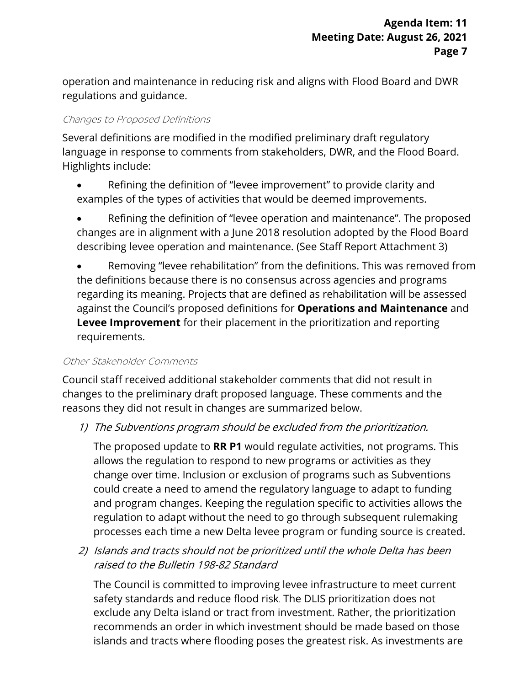operation and maintenance in reducing risk and aligns with Flood Board and DWR regulations and guidance.

# Changes to Proposed Definitions

 language in response to comments from stakeholders, DWR, and the Flood Board. Several definitions are modified in the modified preliminary draft regulatory Highlights include:

• Refining the definition of "levee improvement" to provide clarity and examples of the types of activities that would be deemed improvements.

 • Refining the definition of "levee operation and maintenance". The proposed describing levee operation and maintenance. (See Staff Report Attachment 3) changes are in alignment with a June 2018 resolution adopted by the Flood Board

 requirements. • Removing "levee rehabilitation" from the definitions. This was removed from the definitions because there is no consensus across agencies and programs regarding its meaning. Projects that are defined as rehabilitation will be assessed against the Council's proposed definitions for **Operations and Maintenance** and **Levee Improvement** for their placement in the prioritization and reporting

#### Other Stakeholder Comments

 Council staff received additional stakeholder comments that did not result in changes to the preliminary draft proposed language. These comments and the reasons they did not result in changes are summarized below.

1) The Subventions program should be excluded from the prioritization.

 The proposed update to **RR P1** would regulate activities, not programs. This could create a need to amend the regulatory language to adapt to funding and program changes. Keeping the regulation specific to activities allows the allows the regulation to respond to new programs or activities as they change over time. Inclusion or exclusion of programs such as Subventions regulation to adapt without the need to go through subsequent rulemaking processes each time a new Delta levee program or funding source is created.

 2) Islands and tracts should not be prioritized until the whole Delta has been raised to the Bulletin 198-82 Standard

 The Council is committed to improving levee infrastructure to meet current safety standards and reduce flood risk. The DLIS prioritization does not exclude any Delta island or tract from investment. Rather, the prioritization recommends an order in which investment should be made based on those islands and tracts where flooding poses the greatest risk. As investments are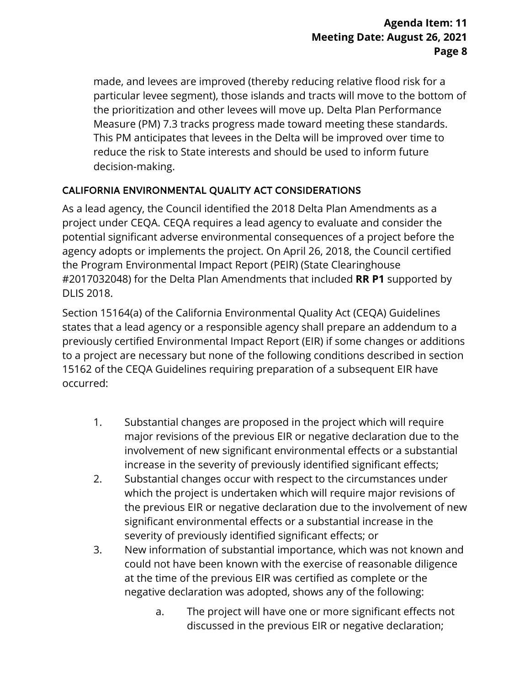particular levee segment), those islands and tracts will move to the bottom of made, and levees are improved (thereby reducing relative flood risk for a the prioritization and other levees will move up. Delta Plan Performance Measure (PM) 7.3 tracks progress made toward meeting these standards. This PM anticipates that levees in the Delta will be improved over time to reduce the risk to State interests and should be used to inform future decision-making.

# CALIFORNIA ENVIRONMENTAL QUALITY ACT CONSIDERATIONS

 potential significant adverse environmental consequences of a project before the the Program Environmental Impact Report (PEIR) (State Clearinghouse As a lead agency, the Council identified the 2018 Delta Plan Amendments as a project under CEQA. CEQA requires a lead agency to evaluate and consider the agency adopts or implements the project. On April 26, 2018, the Council certified #2017032048) for the Delta Plan Amendments that included **RR P1** supported by DLIS 2018.

 Section 15164(a) of the California Environmental Quality Act (CEQA) Guidelines to a project are necessary but none of the following conditions described in section states that a lead agency or a responsible agency shall prepare an addendum to a previously certified Environmental Impact Report (EIR) if some changes or additions 15162 of the CEQA Guidelines requiring preparation of a subsequent EIR have occurred:

- 1. Substantial changes are proposed in the project which will require major revisions of the previous EIR or negative declaration due to the involvement of new significant environmental effects or a substantial increase in the severity of previously identified significant effects;
- 2. Substantial changes occur with respect to the circumstances under which the project is undertaken which will require major revisions of the previous EIR or negative declaration due to the involvement of new significant environmental effects or a substantial increase in the severity of previously identified significant effects; or
- at the time of the previous EIR was certified as complete or the 3. New information of substantial importance, which was not known and could not have been known with the exercise of reasonable diligence negative declaration was adopted, shows any of the following:
	- a. The project will have one or more significant effects not discussed in the previous EIR or negative declaration;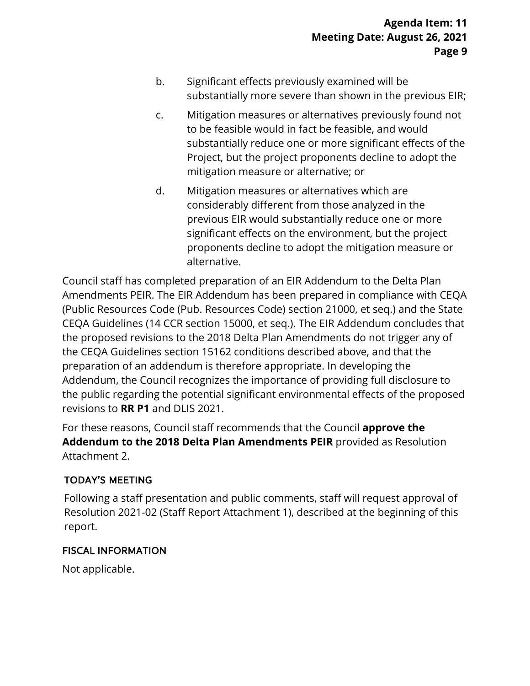- b. Significant effects previously examined will be substantially more severe than shown in the previous EIR;
- c. Mitigation measures or alternatives previously found not to be feasible would in fact be feasible, and would substantially reduce one or more significant effects of the Project, but the project proponents decline to adopt the mitigation measure or alternative; or
- d. Mitigation measures or alternatives which are considerably different from those analyzed in the previous EIR would substantially reduce one or more significant effects on the environment, but the project proponents decline to adopt the mitigation measure or alternative.

 preparation of an addendum is therefore appropriate. In developing the Council staff has completed preparation of an EIR Addendum to the Delta Plan Amendments PEIR. The EIR Addendum has been prepared in compliance with CEQA (Public Resources Code (Pub. Resources Code) section 21000, et seq.) and the State CEQA Guidelines (14 CCR section 15000, et seq.). The EIR Addendum concludes that the proposed revisions to the 2018 Delta Plan Amendments do not trigger any of the CEQA Guidelines section 15162 conditions described above, and that the Addendum, the Council recognizes the importance of providing full disclosure to the public regarding the potential significant environmental effects of the proposed revisions to **RR P1** and DLIS 2021.

 For these reasons, Council staff recommends that the Council **approve the Addendum to the 2018 Delta Plan Amendments PEIR** provided as Resolution Attachment 2.

## TODAY'S MEETING

Following a staff presentation and public comments, staff will request approval of Resolution 2021-02 (Staff Report Attachment 1), described at the beginning of this report.

## FISCAL INFORMATION

Not applicable.